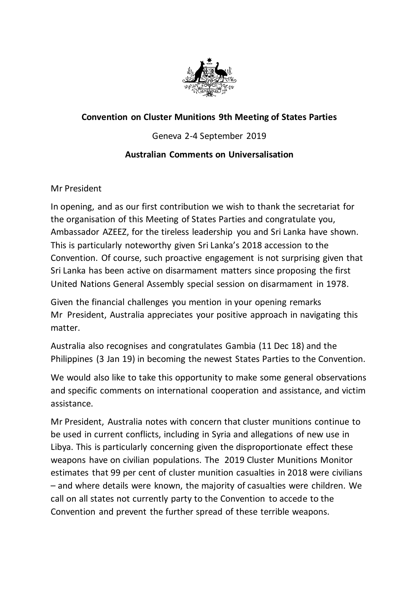

## **Convention on Cluster Munitions 9th Meeting of States Parties**

Geneva 2-4 September 2019

## **Australian Comments on Universalisation**

Mr President

In opening, and as our first contribution we wish to thank the secretariat for the organisation of this Meeting of States Parties and congratulate you, Ambassador AZEEZ, for the tireless leadership you and Sri Lanka have shown. This is particularly noteworthy given Sri Lanka's 2018 accession to the Convention. Of course, such proactive engagement is not surprising given that Sri Lanka has been active on disarmament matters since proposing the first United Nations General Assembly special session on disarmament in 1978.

Given the financial challenges you mention in your opening remarks Mr President, Australia appreciates your positive approach in navigating this matter.

Australia also recognises and congratulates Gambia (11 Dec 18) and the Philippines (3 Jan 19) in becoming the newest States Parties to the Convention.

We would also like to take this opportunity to make some general observations and specific comments on international cooperation and assistance, and victim assistance.

Mr President, Australia notes with concern that cluster munitions continue to be used in current conflicts, including in Syria and allegations of new use in Libya. This is particularly concerning given the disproportionate effect these weapons have on civilian populations. The 2019 Cluster Munitions Monitor estimates that 99 per cent of cluster munition casualties in 2018 were civilians – and where details were known, the majority of casualties were children. We call on all states not currently party to the Convention to accede to the Convention and prevent the further spread of these terrible weapons.